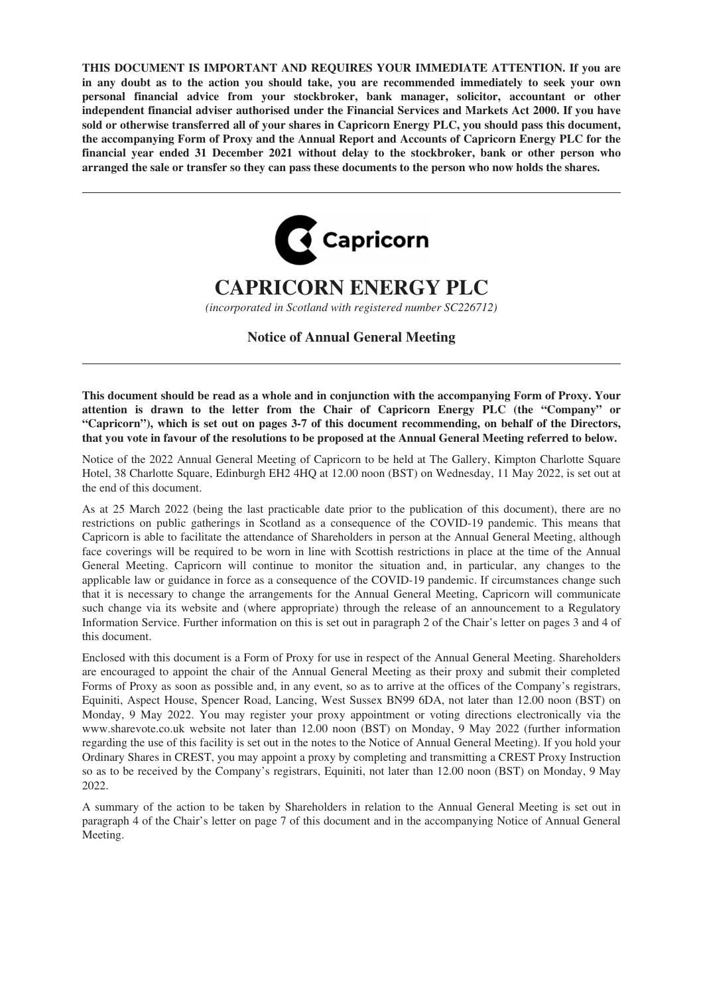**THIS DOCUMENT IS IMPORTANT AND REQUIRES YOUR IMMEDIATE ATTENTION. If you are in any doubt as to the action you should take, you are recommended immediately to seek your own personal financial advice from your stockbroker, bank manager, solicitor, accountant or other independent financial adviser authorised under the Financial Services and Markets Act 2000. If you have sold or otherwise transferred all of your shares in Capricorn Energy PLC, you should pass this document, the accompanying Form of Proxy and the Annual Report and Accounts of Capricorn Energy PLC for the financial year ended 31 December 2021 without delay to the stockbroker, bank or other person who arranged the sale or transfer so they can pass these documents to the person who now holds the shares.**



# **CAPRICORN ENERGY PLC**

*(incorporated in Scotland with registered number SC226712)*

**Notice of Annual General Meeting**

**This document should be read as a whole and in conjunction with the accompanying Form of Proxy. Your attention is drawn to the letter from the Chair of Capricorn Energy PLC (the "Company" or "Capricorn"), which is set out on pages 3-7 of this document recommending, on behalf of the Directors, that you vote in favour of the resolutions to be proposed at the Annual General Meeting referred to below.**

Notice of the 2022 Annual General Meeting of Capricorn to be held at The Gallery, Kimpton Charlotte Square Hotel, 38 Charlotte Square, Edinburgh EH2 4HQ at 12.00 noon (BST) on Wednesday, 11 May 2022, is set out at the end of this document.

As at 25 March 2022 (being the last practicable date prior to the publication of this document), there are no restrictions on public gatherings in Scotland as a consequence of the COVID-19 pandemic. This means that Capricorn is able to facilitate the attendance of Shareholders in person at the Annual General Meeting, although face coverings will be required to be worn in line with Scottish restrictions in place at the time of the Annual General Meeting. Capricorn will continue to monitor the situation and, in particular, any changes to the applicable law or guidance in force as a consequence of the COVID-19 pandemic. If circumstances change such that it is necessary to change the arrangements for the Annual General Meeting, Capricorn will communicate such change via its website and (where appropriate) through the release of an announcement to a Regulatory Information Service. Further information on this is set out in paragraph 2 of the Chair's letter on pages 3 and 4 of this document.

Enclosed with this document is a Form of Proxy for use in respect of the Annual General Meeting. Shareholders are encouraged to appoint the chair of the Annual General Meeting as their proxy and submit their completed Forms of Proxy as soon as possible and, in any event, so as to arrive at the offices of the Company's registrars, Equiniti, Aspect House, Spencer Road, Lancing, West Sussex BN99 6DA, not later than 12.00 noon (BST) on Monday, 9 May 2022. You may register your proxy appointment or voting directions electronically via the www.sharevote.co.uk website not later than 12.00 noon (BST) on Monday, 9 May 2022 (further information regarding the use of this facility is set out in the notes to the Notice of Annual General Meeting). If you hold your Ordinary Shares in CREST, you may appoint a proxy by completing and transmitting a CREST Proxy Instruction so as to be received by the Company's registrars, Equiniti, not later than 12.00 noon (BST) on Monday, 9 May 2022.

A summary of the action to be taken by Shareholders in relation to the Annual General Meeting is set out in paragraph 4 of the Chair's letter on page 7 of this document and in the accompanying Notice of Annual General Meeting.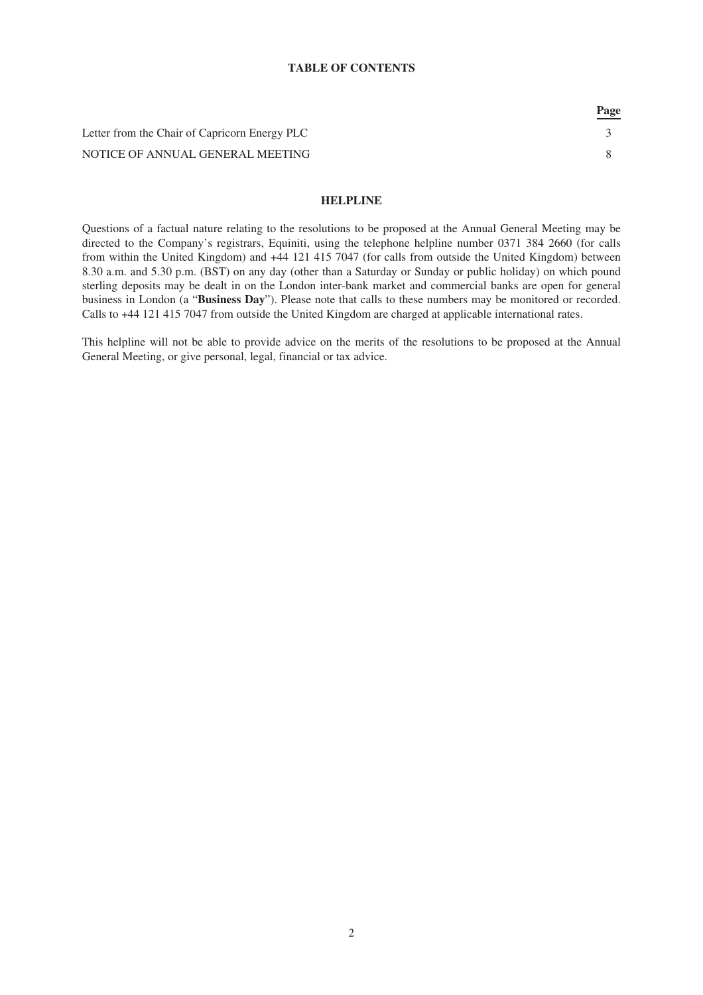## **TABLE OF CONTENTS**

|                                               | <u>Page</u> |
|-----------------------------------------------|-------------|
| Letter from the Chair of Capricorn Energy PLC |             |
| NOTICE OF ANNUAL GENERAL MEETING              |             |
|                                               |             |

 $\overline{a}$ 

# **HELPLINE**

Questions of a factual nature relating to the resolutions to be proposed at the Annual General Meeting may be directed to the Company's registrars, Equiniti, using the telephone helpline number 0371 384 2660 (for calls from within the United Kingdom) and +44 121 415 7047 (for calls from outside the United Kingdom) between 8.30 a.m. and 5.30 p.m. (BST) on any day (other than a Saturday or Sunday or public holiday) on which pound sterling deposits may be dealt in on the London inter-bank market and commercial banks are open for general business in London (a "**Business Day**"). Please note that calls to these numbers may be monitored or recorded. Calls to +44 121 415 7047 from outside the United Kingdom are charged at applicable international rates.

This helpline will not be able to provide advice on the merits of the resolutions to be proposed at the Annual General Meeting, or give personal, legal, financial or tax advice.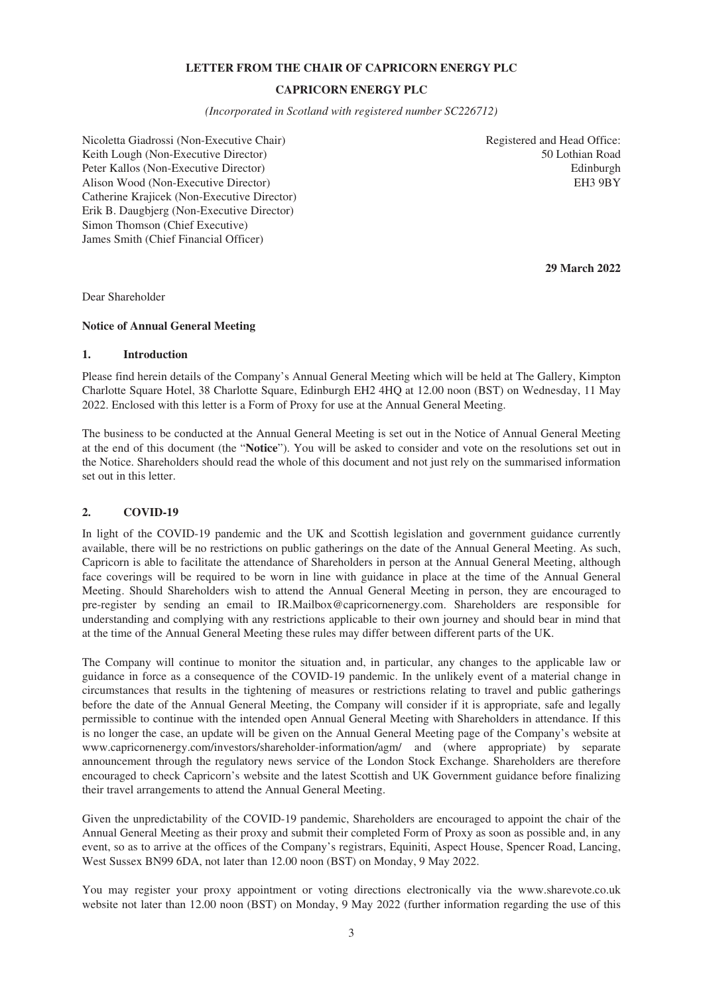## **LETTER FROM THE CHAIR OF CAPRICORN ENERGY PLC**

# **CAPRICORN ENERGY PLC**

*(Incorporated in Scotland with registered number SC226712)*

<span id="page-2-0"></span>Nicoletta Giadrossi (Non-Executive Chair) Keith Lough (Non-Executive Director) Peter Kallos (Non-Executive Director) Alison Wood (Non-Executive Director) Catherine Krajicek (Non-Executive Director) Erik B. Daugbjerg (Non-Executive Director) Simon Thomson (Chief Executive) James Smith (Chief Financial Officer)

Registered and Head Office: 50 Lothian Road Edinburgh EH3 9BY

**29 March 2022**

Dear Shareholder

#### **Notice of Annual General Meeting**

# **1. Introduction**

Please find herein details of the Company's Annual General Meeting which will be held at The Gallery, Kimpton Charlotte Square Hotel, 38 Charlotte Square, Edinburgh EH2 4HQ at 12.00 noon (BST) on Wednesday, 11 May 2022. Enclosed with this letter is a Form of Proxy for use at the Annual General Meeting.

The business to be conducted at the Annual General Meeting is set out in the Notice of Annual General Meeting at the end of this document (the "**Notice**"). You will be asked to consider and vote on the resolutions set out in the Notice. Shareholders should read the whole of this document and not just rely on the summarised information set out in this letter.

#### **2. COVID-19**

In light of the COVID-19 pandemic and the UK and Scottish legislation and government guidance currently available, there will be no restrictions on public gatherings on the date of the Annual General Meeting. As such, Capricorn is able to facilitate the attendance of Shareholders in person at the Annual General Meeting, although face coverings will be required to be worn in line with guidance in place at the time of the Annual General Meeting. Should Shareholders wish to attend the Annual General Meeting in person, they are encouraged to pre-register by sending an email to IR.Mailbox@capricornenergy.com. Shareholders are responsible for understanding and complying with any restrictions applicable to their own journey and should bear in mind that at the time of the Annual General Meeting these rules may differ between different parts of the UK.

The Company will continue to monitor the situation and, in particular, any changes to the applicable law or guidance in force as a consequence of the COVID-19 pandemic. In the unlikely event of a material change in circumstances that results in the tightening of measures or restrictions relating to travel and public gatherings before the date of the Annual General Meeting, the Company will consider if it is appropriate, safe and legally permissible to continue with the intended open Annual General Meeting with Shareholders in attendance. If this is no longer the case, an update will be given on the Annual General Meeting page of the Company's website at www.capricornenergy.com/investors/shareholder-information/agm/ and (where appropriate) by separate announcement through the regulatory news service of the London Stock Exchange. Shareholders are therefore encouraged to check Capricorn's website and the latest Scottish and UK Government guidance before finalizing their travel arrangements to attend the Annual General Meeting.

Given the unpredictability of the COVID-19 pandemic, Shareholders are encouraged to appoint the chair of the Annual General Meeting as their proxy and submit their completed Form of Proxy as soon as possible and, in any event, so as to arrive at the offices of the Company's registrars, Equiniti, Aspect House, Spencer Road, Lancing, West Sussex BN99 6DA, not later than 12.00 noon (BST) on Monday, 9 May 2022.

You may register your proxy appointment or voting directions electronically via the www.sharevote.co.uk website not later than 12.00 noon (BST) on Monday, 9 May 2022 (further information regarding the use of this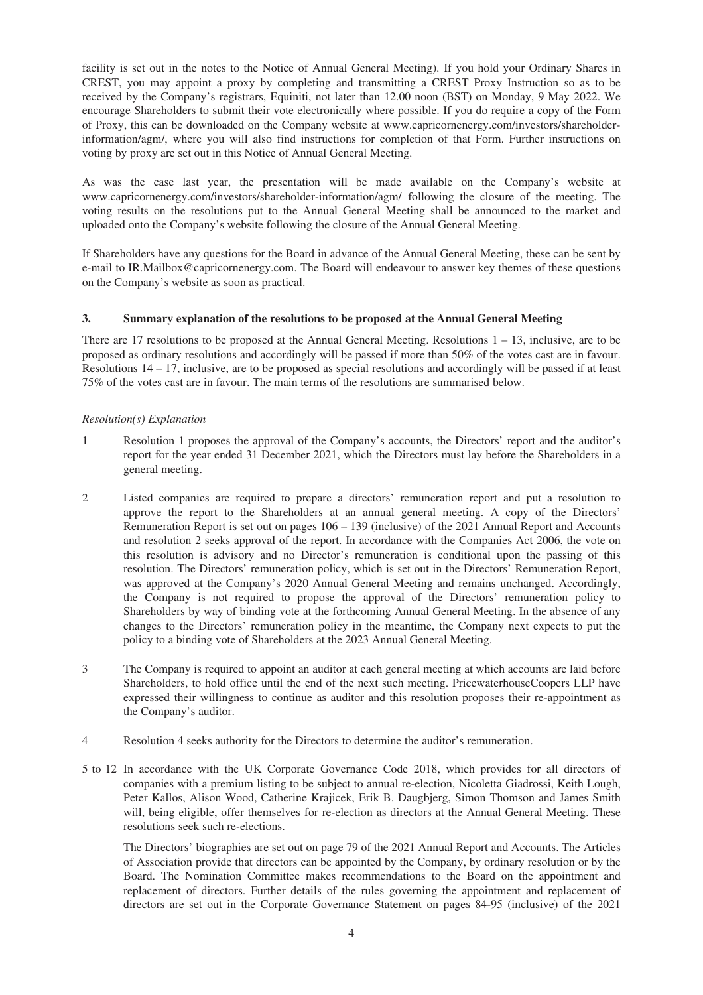facility is set out in the notes to the Notice of Annual General Meeting). If you hold your Ordinary Shares in CREST, you may appoint a proxy by completing and transmitting a CREST Proxy Instruction so as to be received by the Company's registrars, Equiniti, not later than 12.00 noon (BST) on Monday, 9 May 2022. We encourage Shareholders to submit their vote electronically where possible. If you do require a copy of the Form of Proxy, this can be downloaded on the Company website at www.capricornenergy.com/investors/shareholderinformation/agm/, where you will also find instructions for completion of that Form. Further instructions on voting by proxy are set out in this Notice of Annual General Meeting.

As was the case last year, the presentation will be made available on the Company's website at www.capricornenergy.com/investors/shareholder-information/agm/ following the closure of the meeting. The voting results on the resolutions put to the Annual General Meeting shall be announced to the market and uploaded onto the Company's website following the closure of the Annual General Meeting.

If Shareholders have any questions for the Board in advance of the Annual General Meeting, these can be sent by e-mail to IR.Mailbox@capricornenergy.com. The Board will endeavour to answer key themes of these questions on the Company's website as soon as practical.

## **3. Summary explanation of the resolutions to be proposed at the Annual General Meeting**

There are 17 resolutions to be proposed at the Annual General Meeting. Resolutions  $1 - 13$ , inclusive, are to be proposed as ordinary resolutions and accordingly will be passed if more than 50% of the votes cast are in favour. Resolutions 14 – 17, inclusive, are to be proposed as special resolutions and accordingly will be passed if at least 75% of the votes cast are in favour. The main terms of the resolutions are summarised below.

## *Resolution(s) Explanation*

- 1 Resolution 1 proposes the approval of the Company's accounts, the Directors' report and the auditor's report for the year ended 31 December 2021, which the Directors must lay before the Shareholders in a general meeting.
- 2 Listed companies are required to prepare a directors' remuneration report and put a resolution to approve the report to the Shareholders at an annual general meeting. A copy of the Directors' Remuneration Report is set out on pages 106 – 139 (inclusive) of the 2021 Annual Report and Accounts and resolution 2 seeks approval of the report. In accordance with the Companies Act 2006, the vote on this resolution is advisory and no Director's remuneration is conditional upon the passing of this resolution. The Directors' remuneration policy, which is set out in the Directors' Remuneration Report, was approved at the Company's 2020 Annual General Meeting and remains unchanged. Accordingly, the Company is not required to propose the approval of the Directors' remuneration policy to Shareholders by way of binding vote at the forthcoming Annual General Meeting. In the absence of any changes to the Directors' remuneration policy in the meantime, the Company next expects to put the policy to a binding vote of Shareholders at the 2023 Annual General Meeting.
- 3 The Company is required to appoint an auditor at each general meeting at which accounts are laid before Shareholders, to hold office until the end of the next such meeting. PricewaterhouseCoopers LLP have expressed their willingness to continue as auditor and this resolution proposes their re-appointment as the Company's auditor.
- 4 Resolution 4 seeks authority for the Directors to determine the auditor's remuneration.
- 5 to 12 In accordance with the UK Corporate Governance Code 2018, which provides for all directors of companies with a premium listing to be subject to annual re-election, Nicoletta Giadrossi, Keith Lough, Peter Kallos, Alison Wood, Catherine Krajicek, Erik B. Daugbjerg, Simon Thomson and James Smith will, being eligible, offer themselves for re-election as directors at the Annual General Meeting. These resolutions seek such re-elections.

The Directors' biographies are set out on page 79 of the 2021 Annual Report and Accounts. The Articles of Association provide that directors can be appointed by the Company, by ordinary resolution or by the Board. The Nomination Committee makes recommendations to the Board on the appointment and replacement of directors. Further details of the rules governing the appointment and replacement of directors are set out in the Corporate Governance Statement on pages 84-95 (inclusive) of the 2021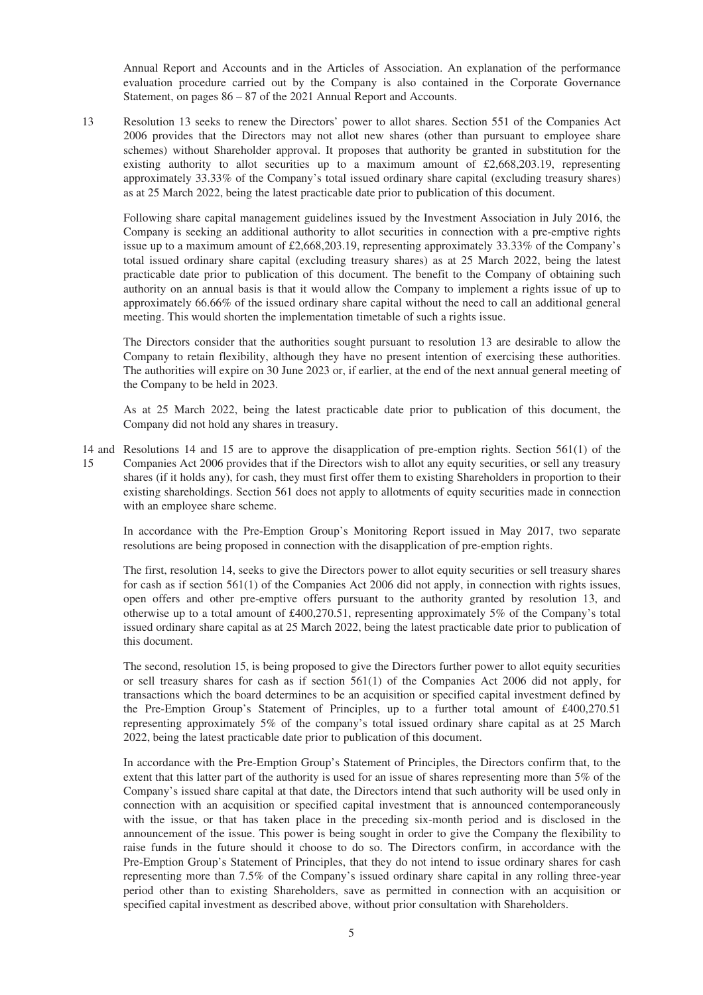Annual Report and Accounts and in the Articles of Association. An explanation of the performance evaluation procedure carried out by the Company is also contained in the Corporate Governance Statement, on pages 86 – 87 of the 2021 Annual Report and Accounts.

13 Resolution 13 seeks to renew the Directors' power to allot shares. Section 551 of the Companies Act 2006 provides that the Directors may not allot new shares (other than pursuant to employee share schemes) without Shareholder approval. It proposes that authority be granted in substitution for the existing authority to allot securities up to a maximum amount of  $\text{\pounds}2,668,203.19$ , representing approximately 33.33% of the Company's total issued ordinary share capital (excluding treasury shares) as at 25 March 2022, being the latest practicable date prior to publication of this document.

Following share capital management guidelines issued by the Investment Association in July 2016, the Company is seeking an additional authority to allot securities in connection with a pre-emptive rights issue up to a maximum amount of £2,668,203.19, representing approximately 33.33% of the Company's total issued ordinary share capital (excluding treasury shares) as at 25 March 2022, being the latest practicable date prior to publication of this document. The benefit to the Company of obtaining such authority on an annual basis is that it would allow the Company to implement a rights issue of up to approximately 66.66% of the issued ordinary share capital without the need to call an additional general meeting. This would shorten the implementation timetable of such a rights issue.

The Directors consider that the authorities sought pursuant to resolution 13 are desirable to allow the Company to retain flexibility, although they have no present intention of exercising these authorities. The authorities will expire on 30 June 2023 or, if earlier, at the end of the next annual general meeting of the Company to be held in 2023.

As at 25 March 2022, being the latest practicable date prior to publication of this document, the Company did not hold any shares in treasury.

14 and Resolutions 14 and 15 are to approve the disapplication of pre-emption rights. Section 561(1) of the 15 Companies Act 2006 provides that if the Directors wish to allot any equity securities, or sell any treasury shares (if it holds any), for cash, they must first offer them to existing Shareholders in proportion to their existing shareholdings. Section 561 does not apply to allotments of equity securities made in connection with an employee share scheme.

In accordance with the Pre-Emption Group's Monitoring Report issued in May 2017, two separate resolutions are being proposed in connection with the disapplication of pre-emption rights.

The first, resolution 14, seeks to give the Directors power to allot equity securities or sell treasury shares for cash as if section 561(1) of the Companies Act 2006 did not apply, in connection with rights issues, open offers and other pre-emptive offers pursuant to the authority granted by resolution 13, and otherwise up to a total amount of £400,270.51, representing approximately 5% of the Company's total issued ordinary share capital as at 25 March 2022, being the latest practicable date prior to publication of this document.

The second, resolution 15, is being proposed to give the Directors further power to allot equity securities or sell treasury shares for cash as if section 561(1) of the Companies Act 2006 did not apply, for transactions which the board determines to be an acquisition or specified capital investment defined by the Pre-Emption Group's Statement of Principles, up to a further total amount of £400,270.51 representing approximately 5% of the company's total issued ordinary share capital as at 25 March 2022, being the latest practicable date prior to publication of this document.

In accordance with the Pre-Emption Group's Statement of Principles, the Directors confirm that, to the extent that this latter part of the authority is used for an issue of shares representing more than 5% of the Company's issued share capital at that date, the Directors intend that such authority will be used only in connection with an acquisition or specified capital investment that is announced contemporaneously with the issue, or that has taken place in the preceding six-month period and is disclosed in the announcement of the issue. This power is being sought in order to give the Company the flexibility to raise funds in the future should it choose to do so. The Directors confirm, in accordance with the Pre-Emption Group's Statement of Principles, that they do not intend to issue ordinary shares for cash representing more than 7.5% of the Company's issued ordinary share capital in any rolling three-year period other than to existing Shareholders, save as permitted in connection with an acquisition or specified capital investment as described above, without prior consultation with Shareholders.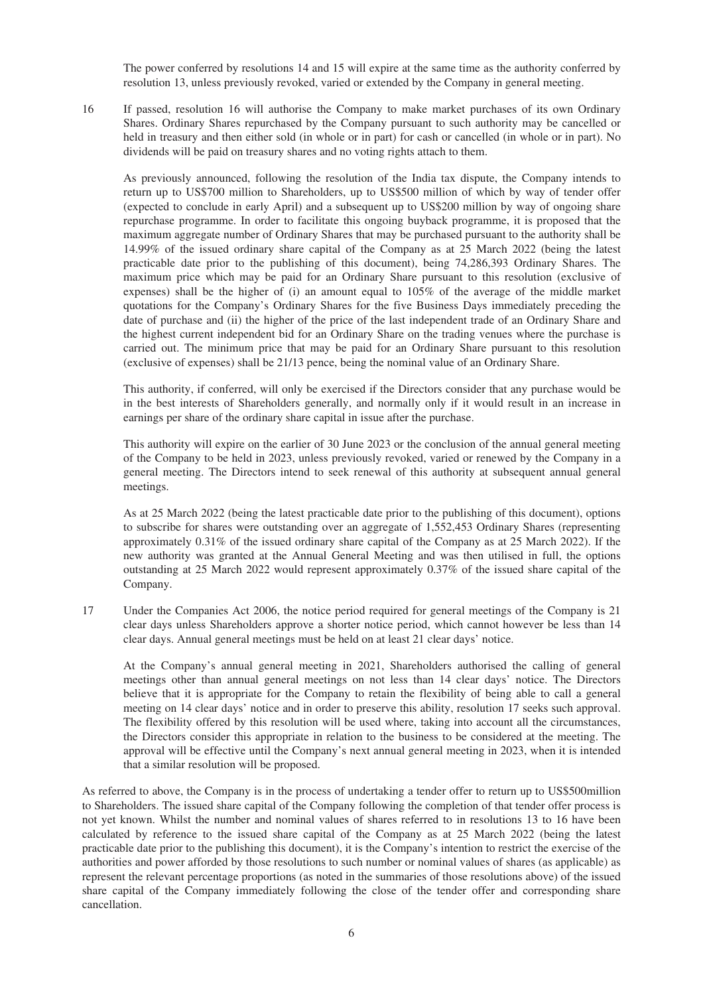The power conferred by resolutions 14 and 15 will expire at the same time as the authority conferred by resolution 13, unless previously revoked, varied or extended by the Company in general meeting.

16 If passed, resolution 16 will authorise the Company to make market purchases of its own Ordinary Shares. Ordinary Shares repurchased by the Company pursuant to such authority may be cancelled or held in treasury and then either sold (in whole or in part) for cash or cancelled (in whole or in part). No dividends will be paid on treasury shares and no voting rights attach to them.

As previously announced, following the resolution of the India tax dispute, the Company intends to return up to US\$700 million to Shareholders, up to US\$500 million of which by way of tender offer (expected to conclude in early April) and a subsequent up to US\$200 million by way of ongoing share repurchase programme. In order to facilitate this ongoing buyback programme, it is proposed that the maximum aggregate number of Ordinary Shares that may be purchased pursuant to the authority shall be 14.99% of the issued ordinary share capital of the Company as at 25 March 2022 (being the latest practicable date prior to the publishing of this document), being 74,286,393 Ordinary Shares. The maximum price which may be paid for an Ordinary Share pursuant to this resolution (exclusive of expenses) shall be the higher of (i) an amount equal to 105% of the average of the middle market quotations for the Company's Ordinary Shares for the five Business Days immediately preceding the date of purchase and (ii) the higher of the price of the last independent trade of an Ordinary Share and the highest current independent bid for an Ordinary Share on the trading venues where the purchase is carried out. The minimum price that may be paid for an Ordinary Share pursuant to this resolution (exclusive of expenses) shall be 21/13 pence, being the nominal value of an Ordinary Share.

This authority, if conferred, will only be exercised if the Directors consider that any purchase would be in the best interests of Shareholders generally, and normally only if it would result in an increase in earnings per share of the ordinary share capital in issue after the purchase.

This authority will expire on the earlier of 30 June 2023 or the conclusion of the annual general meeting of the Company to be held in 2023, unless previously revoked, varied or renewed by the Company in a general meeting. The Directors intend to seek renewal of this authority at subsequent annual general meetings.

As at 25 March 2022 (being the latest practicable date prior to the publishing of this document), options to subscribe for shares were outstanding over an aggregate of 1,552,453 Ordinary Shares (representing approximately 0.31% of the issued ordinary share capital of the Company as at 25 March 2022). If the new authority was granted at the Annual General Meeting and was then utilised in full, the options outstanding at 25 March 2022 would represent approximately 0.37% of the issued share capital of the Company.

17 Under the Companies Act 2006, the notice period required for general meetings of the Company is 21 clear days unless Shareholders approve a shorter notice period, which cannot however be less than 14 clear days. Annual general meetings must be held on at least 21 clear days' notice.

At the Company's annual general meeting in 2021, Shareholders authorised the calling of general meetings other than annual general meetings on not less than 14 clear days' notice. The Directors believe that it is appropriate for the Company to retain the flexibility of being able to call a general meeting on 14 clear days' notice and in order to preserve this ability, resolution 17 seeks such approval. The flexibility offered by this resolution will be used where, taking into account all the circumstances, the Directors consider this appropriate in relation to the business to be considered at the meeting. The approval will be effective until the Company's next annual general meeting in 2023, when it is intended that a similar resolution will be proposed.

As referred to above, the Company is in the process of undertaking a tender offer to return up to US\$500million to Shareholders. The issued share capital of the Company following the completion of that tender offer process is not yet known. Whilst the number and nominal values of shares referred to in resolutions 13 to 16 have been calculated by reference to the issued share capital of the Company as at 25 March 2022 (being the latest practicable date prior to the publishing this document), it is the Company's intention to restrict the exercise of the authorities and power afforded by those resolutions to such number or nominal values of shares (as applicable) as represent the relevant percentage proportions (as noted in the summaries of those resolutions above) of the issued share capital of the Company immediately following the close of the tender offer and corresponding share cancellation.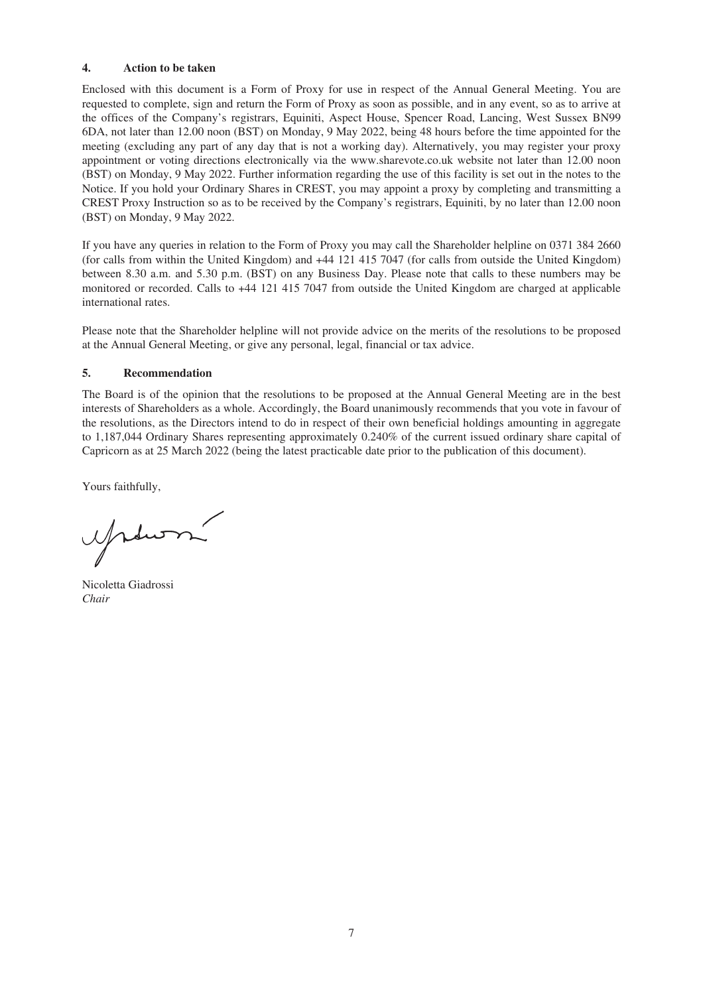# **4. Action to be taken**

Enclosed with this document is a Form of Proxy for use in respect of the Annual General Meeting. You are requested to complete, sign and return the Form of Proxy as soon as possible, and in any event, so as to arrive at the offices of the Company's registrars, Equiniti, Aspect House, Spencer Road, Lancing, West Sussex BN99 6DA, not later than 12.00 noon (BST) on Monday, 9 May 2022, being 48 hours before the time appointed for the meeting (excluding any part of any day that is not a working day). Alternatively, you may register your proxy appointment or voting directions electronically via the www.sharevote.co.uk website not later than 12.00 noon (BST) on Monday, 9 May 2022. Further information regarding the use of this facility is set out in the notes to the Notice. If you hold your Ordinary Shares in CREST, you may appoint a proxy by completing and transmitting a CREST Proxy Instruction so as to be received by the Company's registrars, Equiniti, by no later than 12.00 noon (BST) on Monday, 9 May 2022.

If you have any queries in relation to the Form of Proxy you may call the Shareholder helpline on 0371 384 2660 (for calls from within the United Kingdom) and +44 121 415 7047 (for calls from outside the United Kingdom) between 8.30 a.m. and 5.30 p.m. (BST) on any Business Day. Please note that calls to these numbers may be monitored or recorded. Calls to +44 121 415 7047 from outside the United Kingdom are charged at applicable international rates.

Please note that the Shareholder helpline will not provide advice on the merits of the resolutions to be proposed at the Annual General Meeting, or give any personal, legal, financial or tax advice.

# **5. Recommendation**

The Board is of the opinion that the resolutions to be proposed at the Annual General Meeting are in the best interests of Shareholders as a whole. Accordingly, the Board unanimously recommends that you vote in favour of the resolutions, as the Directors intend to do in respect of their own beneficial holdings amounting in aggregate to 1,187,044 Ordinary Shares representing approximately 0.240% of the current issued ordinary share capital of Capricorn as at 25 March 2022 (being the latest practicable date prior to the publication of this document).

Yours faithfully,

Nicoletta Giadrossi *Chair*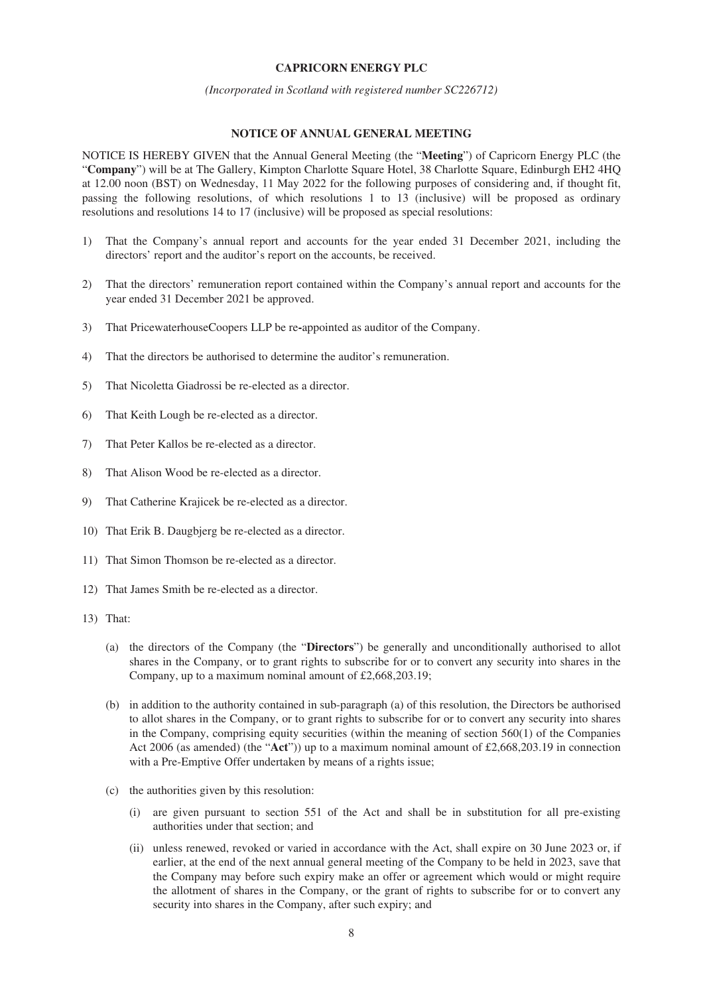## **CAPRICORN ENERGY PLC**

#### *(Incorporated in Scotland with registered number SC226712)*

#### **NOTICE OF ANNUAL GENERAL MEETING**

<span id="page-7-0"></span>NOTICE IS HEREBY GIVEN that the Annual General Meeting (the "**Meeting**") of Capricorn Energy PLC (the "**Company**") will be at The Gallery, Kimpton Charlotte Square Hotel, 38 Charlotte Square, Edinburgh EH2 4HQ at 12.00 noon (BST) on Wednesday, 11 May 2022 for the following purposes of considering and, if thought fit, passing the following resolutions, of which resolutions 1 to 13 (inclusive) will be proposed as ordinary resolutions and resolutions 14 to 17 (inclusive) will be proposed as special resolutions:

- 1) That the Company's annual report and accounts for the year ended 31 December 2021, including the directors' report and the auditor's report on the accounts, be received.
- 2) That the directors' remuneration report contained within the Company's annual report and accounts for the year ended 31 December 2021 be approved.
- 3) That PricewaterhouseCoopers LLP be re**-**appointed as auditor of the Company.
- 4) That the directors be authorised to determine the auditor's remuneration.
- 5) That Nicoletta Giadrossi be re-elected as a director.
- 6) That Keith Lough be re-elected as a director.
- 7) That Peter Kallos be re-elected as a director.
- 8) That Alison Wood be re-elected as a director.
- 9) That Catherine Krajicek be re-elected as a director.
- 10) That Erik B. Daugbjerg be re-elected as a director.
- 11) That Simon Thomson be re-elected as a director.
- 12) That James Smith be re-elected as a director.
- 13) That:
	- (a) the directors of the Company (the "**Directors**") be generally and unconditionally authorised to allot shares in the Company, or to grant rights to subscribe for or to convert any security into shares in the Company, up to a maximum nominal amount of £2,668,203.19;
	- (b) in addition to the authority contained in sub-paragraph (a) of this resolution, the Directors be authorised to allot shares in the Company, or to grant rights to subscribe for or to convert any security into shares in the Company, comprising equity securities (within the meaning of section 560(1) of the Companies Act 2006 (as amended) (the "**Act**")) up to a maximum nominal amount of £2,668,203.19 in connection with a Pre-Emptive Offer undertaken by means of a rights issue;
	- (c) the authorities given by this resolution:
		- (i) are given pursuant to section 551 of the Act and shall be in substitution for all pre-existing authorities under that section; and
		- (ii) unless renewed, revoked or varied in accordance with the Act, shall expire on 30 June 2023 or, if earlier, at the end of the next annual general meeting of the Company to be held in 2023, save that the Company may before such expiry make an offer or agreement which would or might require the allotment of shares in the Company, or the grant of rights to subscribe for or to convert any security into shares in the Company, after such expiry; and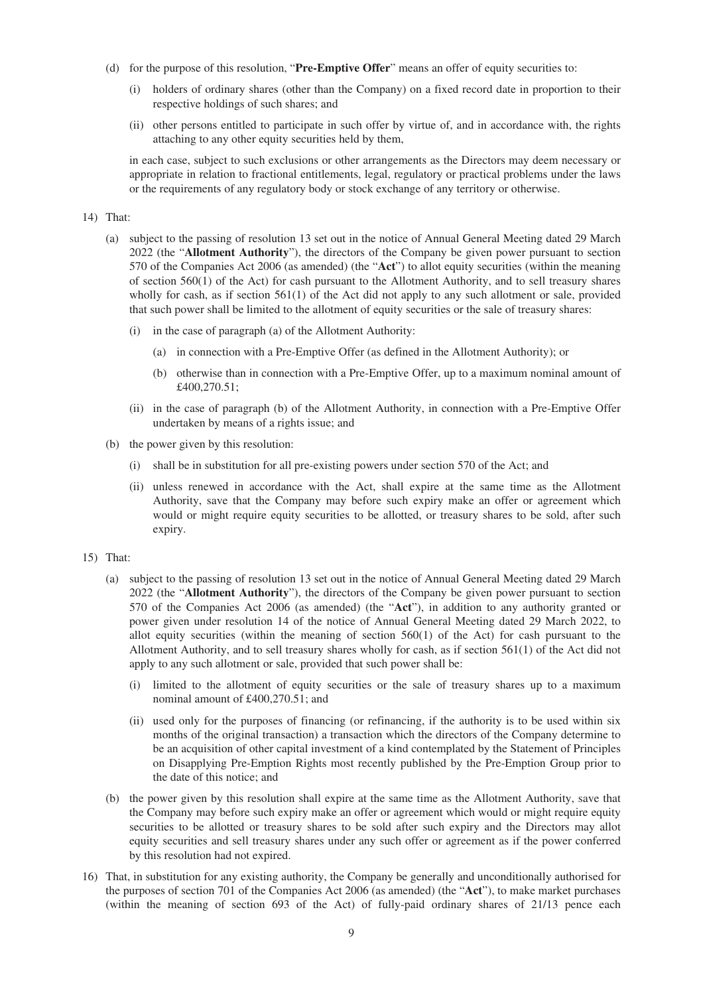- (d) for the purpose of this resolution, "**Pre-Emptive Offer**" means an offer of equity securities to:
	- (i) holders of ordinary shares (other than the Company) on a fixed record date in proportion to their respective holdings of such shares; and
	- (ii) other persons entitled to participate in such offer by virtue of, and in accordance with, the rights attaching to any other equity securities held by them,

in each case, subject to such exclusions or other arrangements as the Directors may deem necessary or appropriate in relation to fractional entitlements, legal, regulatory or practical problems under the laws or the requirements of any regulatory body or stock exchange of any territory or otherwise.

## 14) That:

- (a) subject to the passing of resolution 13 set out in the notice of Annual General Meeting dated 29 March 2022 (the "**Allotment Authority**"), the directors of the Company be given power pursuant to section 570 of the Companies Act 2006 (as amended) (the "**Act**") to allot equity securities (within the meaning of section 560(1) of the Act) for cash pursuant to the Allotment Authority, and to sell treasury shares wholly for cash, as if section 561(1) of the Act did not apply to any such allotment or sale, provided that such power shall be limited to the allotment of equity securities or the sale of treasury shares:
	- (i) in the case of paragraph (a) of the Allotment Authority:
		- (a) in connection with a Pre-Emptive Offer (as defined in the Allotment Authority); or
		- (b) otherwise than in connection with a Pre-Emptive Offer, up to a maximum nominal amount of £400,270.51;
	- (ii) in the case of paragraph (b) of the Allotment Authority, in connection with a Pre-Emptive Offer undertaken by means of a rights issue; and
- (b) the power given by this resolution:
	- (i) shall be in substitution for all pre-existing powers under section 570 of the Act; and
	- (ii) unless renewed in accordance with the Act, shall expire at the same time as the Allotment Authority, save that the Company may before such expiry make an offer or agreement which would or might require equity securities to be allotted, or treasury shares to be sold, after such expiry.
- 15) That:
	- (a) subject to the passing of resolution 13 set out in the notice of Annual General Meeting dated 29 March 2022 (the "**Allotment Authority**"), the directors of the Company be given power pursuant to section 570 of the Companies Act 2006 (as amended) (the "**Act**"), in addition to any authority granted or power given under resolution 14 of the notice of Annual General Meeting dated 29 March 2022, to allot equity securities (within the meaning of section 560(1) of the Act) for cash pursuant to the Allotment Authority, and to sell treasury shares wholly for cash, as if section 561(1) of the Act did not apply to any such allotment or sale, provided that such power shall be:
		- (i) limited to the allotment of equity securities or the sale of treasury shares up to a maximum nominal amount of £400,270.51; and
		- (ii) used only for the purposes of financing (or refinancing, if the authority is to be used within six months of the original transaction) a transaction which the directors of the Company determine to be an acquisition of other capital investment of a kind contemplated by the Statement of Principles on Disapplying Pre-Emption Rights most recently published by the Pre-Emption Group prior to the date of this notice; and
	- (b) the power given by this resolution shall expire at the same time as the Allotment Authority, save that the Company may before such expiry make an offer or agreement which would or might require equity securities to be allotted or treasury shares to be sold after such expiry and the Directors may allot equity securities and sell treasury shares under any such offer or agreement as if the power conferred by this resolution had not expired.
- 16) That, in substitution for any existing authority, the Company be generally and unconditionally authorised for the purposes of section 701 of the Companies Act 2006 (as amended) (the "**Act**"), to make market purchases (within the meaning of section 693 of the Act) of fully-paid ordinary shares of 21/13 pence each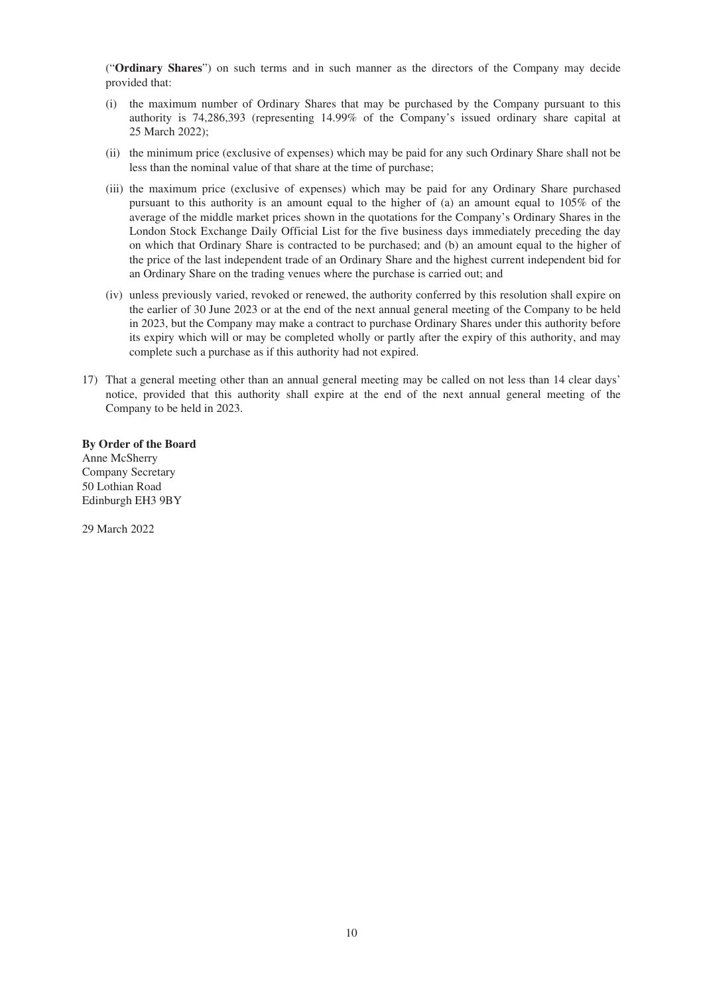("**Ordinary Shares**") on such terms and in such manner as the directors of the Company may decide provided that:

- (i) the maximum number of Ordinary Shares that may be purchased by the Company pursuant to this authority is 74,286,393 (representing 14.99% of the Company's issued ordinary share capital at 25 March 2022);
- (ii) the minimum price (exclusive of expenses) which may be paid for any such Ordinary Share shall not be less than the nominal value of that share at the time of purchase;
- (iii) the maximum price (exclusive of expenses) which may be paid for any Ordinary Share purchased pursuant to this authority is an amount equal to the higher of (a) an amount equal to 105% of the average of the middle market prices shown in the quotations for the Company's Ordinary Shares in the London Stock Exchange Daily Official List for the five business days immediately preceding the day on which that Ordinary Share is contracted to be purchased; and (b) an amount equal to the higher of the price of the last independent trade of an Ordinary Share and the highest current independent bid for an Ordinary Share on the trading venues where the purchase is carried out; and
- (iv) unless previously varied, revoked or renewed, the authority conferred by this resolution shall expire on the earlier of 30 June 2023 or at the end of the next annual general meeting of the Company to be held in 2023, but the Company may make a contract to purchase Ordinary Shares under this authority before its expiry which will or may be completed wholly or partly after the expiry of this authority, and may complete such a purchase as if this authority had not expired.
- 17) That a general meeting other than an annual general meeting may be called on not less than 14 clear days' notice, provided that this authority shall expire at the end of the next annual general meeting of the Company to be held in 2023.

**By Order of the Board** Anne McSherry Company Secretary 50 Lothian Road Edinburgh EH3 9BY

29 March 2022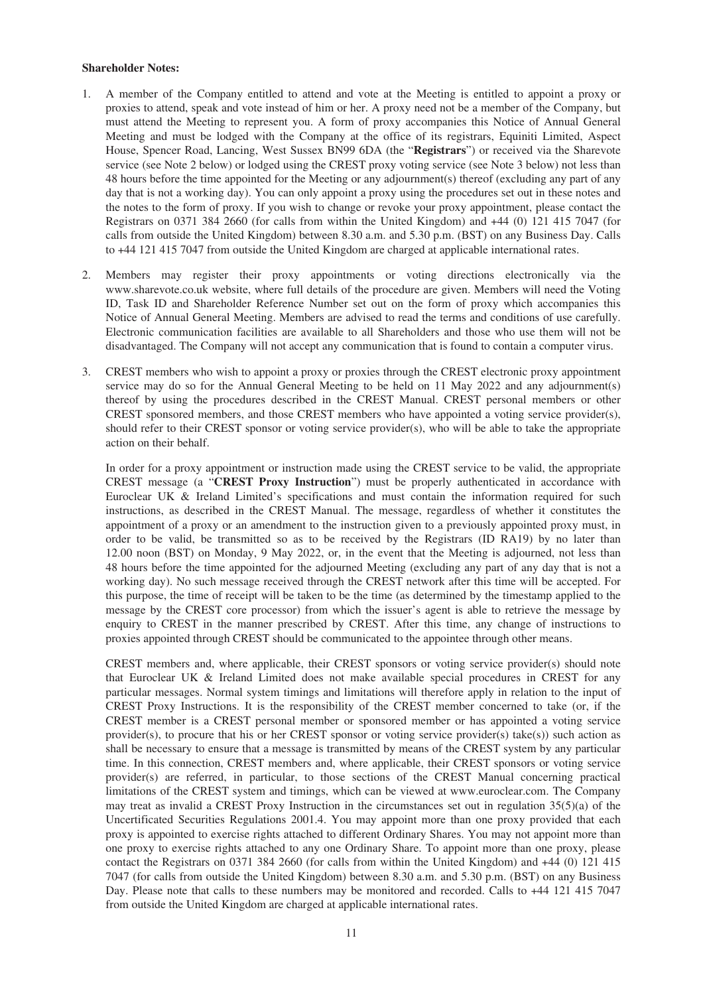### **Shareholder Notes:**

- 1. A member of the Company entitled to attend and vote at the Meeting is entitled to appoint a proxy or proxies to attend, speak and vote instead of him or her. A proxy need not be a member of the Company, but must attend the Meeting to represent you. A form of proxy accompanies this Notice of Annual General Meeting and must be lodged with the Company at the office of its registrars, Equiniti Limited, Aspect House, Spencer Road, Lancing, West Sussex BN99 6DA (the "**Registrars**") or received via the Sharevote service (see Note 2 below) or lodged using the CREST proxy voting service (see Note 3 below) not less than 48 hours before the time appointed for the Meeting or any adjournment(s) thereof (excluding any part of any day that is not a working day). You can only appoint a proxy using the procedures set out in these notes and the notes to the form of proxy. If you wish to change or revoke your proxy appointment, please contact the Registrars on 0371 384 2660 (for calls from within the United Kingdom) and +44 (0) 121 415 7047 (for calls from outside the United Kingdom) between 8.30 a.m. and 5.30 p.m. (BST) on any Business Day. Calls to +44 121 415 7047 from outside the United Kingdom are charged at applicable international rates.
- 2. Members may register their proxy appointments or voting directions electronically via the www.sharevote.co.uk website, where full details of the procedure are given. Members will need the Voting ID, Task ID and Shareholder Reference Number set out on the form of proxy which accompanies this Notice of Annual General Meeting. Members are advised to read the terms and conditions of use carefully. Electronic communication facilities are available to all Shareholders and those who use them will not be disadvantaged. The Company will not accept any communication that is found to contain a computer virus.
- 3. CREST members who wish to appoint a proxy or proxies through the CREST electronic proxy appointment service may do so for the Annual General Meeting to be held on 11 May 2022 and any adjournment(s) thereof by using the procedures described in the CREST Manual. CREST personal members or other CREST sponsored members, and those CREST members who have appointed a voting service provider(s), should refer to their CREST sponsor or voting service provider(s), who will be able to take the appropriate action on their behalf.

In order for a proxy appointment or instruction made using the CREST service to be valid, the appropriate CREST message (a "**CREST Proxy Instruction**") must be properly authenticated in accordance with Euroclear UK & Ireland Limited's specifications and must contain the information required for such instructions, as described in the CREST Manual. The message, regardless of whether it constitutes the appointment of a proxy or an amendment to the instruction given to a previously appointed proxy must, in order to be valid, be transmitted so as to be received by the Registrars (ID RA19) by no later than 12.00 noon (BST) on Monday, 9 May 2022, or, in the event that the Meeting is adjourned, not less than 48 hours before the time appointed for the adjourned Meeting (excluding any part of any day that is not a working day). No such message received through the CREST network after this time will be accepted. For this purpose, the time of receipt will be taken to be the time (as determined by the timestamp applied to the message by the CREST core processor) from which the issuer's agent is able to retrieve the message by enquiry to CREST in the manner prescribed by CREST. After this time, any change of instructions to proxies appointed through CREST should be communicated to the appointee through other means.

CREST members and, where applicable, their CREST sponsors or voting service provider(s) should note that Euroclear UK & Ireland Limited does not make available special procedures in CREST for any particular messages. Normal system timings and limitations will therefore apply in relation to the input of CREST Proxy Instructions. It is the responsibility of the CREST member concerned to take (or, if the CREST member is a CREST personal member or sponsored member or has appointed a voting service provider(s), to procure that his or her CREST sponsor or voting service provider(s) take(s)) such action as shall be necessary to ensure that a message is transmitted by means of the CREST system by any particular time. In this connection, CREST members and, where applicable, their CREST sponsors or voting service provider(s) are referred, in particular, to those sections of the CREST Manual concerning practical limitations of the CREST system and timings, which can be viewed at www.euroclear.com. The Company may treat as invalid a CREST Proxy Instruction in the circumstances set out in regulation 35(5)(a) of the Uncertificated Securities Regulations 2001.4. You may appoint more than one proxy provided that each proxy is appointed to exercise rights attached to different Ordinary Shares. You may not appoint more than one proxy to exercise rights attached to any one Ordinary Share. To appoint more than one proxy, please contact the Registrars on 0371 384 2660 (for calls from within the United Kingdom) and +44 (0) 121 415 7047 (for calls from outside the United Kingdom) between 8.30 a.m. and 5.30 p.m. (BST) on any Business Day. Please note that calls to these numbers may be monitored and recorded. Calls to +44 121 415 7047 from outside the United Kingdom are charged at applicable international rates.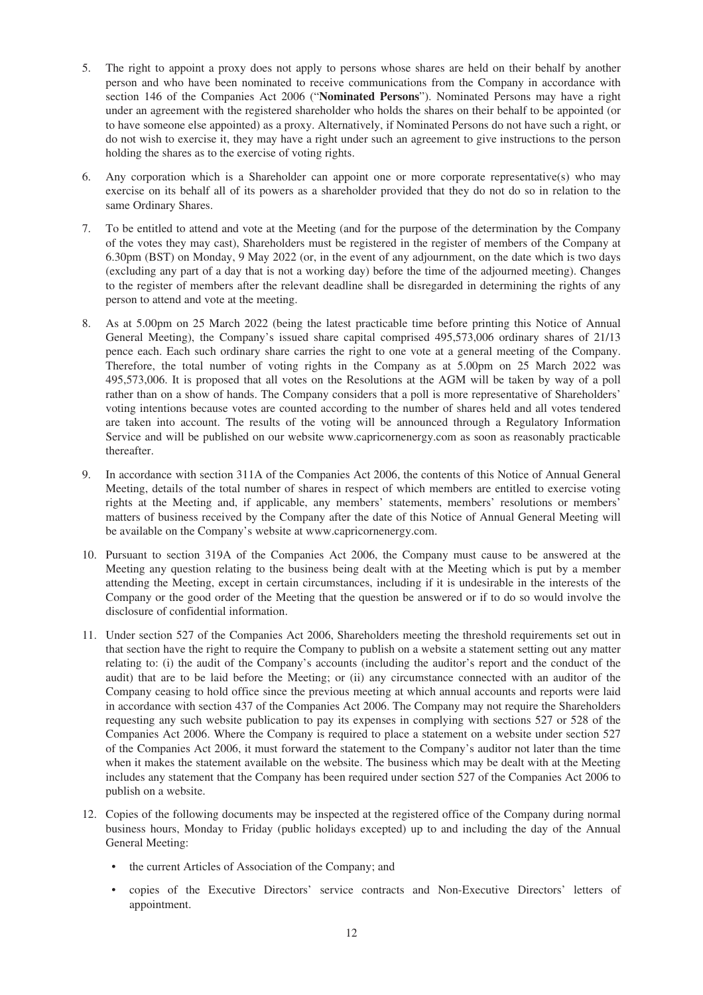- 5. The right to appoint a proxy does not apply to persons whose shares are held on their behalf by another person and who have been nominated to receive communications from the Company in accordance with section 146 of the Companies Act 2006 ("**Nominated Persons**"). Nominated Persons may have a right under an agreement with the registered shareholder who holds the shares on their behalf to be appointed (or to have someone else appointed) as a proxy. Alternatively, if Nominated Persons do not have such a right, or do not wish to exercise it, they may have a right under such an agreement to give instructions to the person holding the shares as to the exercise of voting rights.
- 6. Any corporation which is a Shareholder can appoint one or more corporate representative(s) who may exercise on its behalf all of its powers as a shareholder provided that they do not do so in relation to the same Ordinary Shares.
- 7. To be entitled to attend and vote at the Meeting (and for the purpose of the determination by the Company of the votes they may cast), Shareholders must be registered in the register of members of the Company at 6.30pm (BST) on Monday, 9 May 2022 (or, in the event of any adjournment, on the date which is two days (excluding any part of a day that is not a working day) before the time of the adjourned meeting). Changes to the register of members after the relevant deadline shall be disregarded in determining the rights of any person to attend and vote at the meeting.
- 8. As at 5.00pm on 25 March 2022 (being the latest practicable time before printing this Notice of Annual General Meeting), the Company's issued share capital comprised 495,573,006 ordinary shares of 21/13 pence each. Each such ordinary share carries the right to one vote at a general meeting of the Company. Therefore, the total number of voting rights in the Company as at 5.00pm on 25 March 2022 was 495,573,006. It is proposed that all votes on the Resolutions at the AGM will be taken by way of a poll rather than on a show of hands. The Company considers that a poll is more representative of Shareholders' voting intentions because votes are counted according to the number of shares held and all votes tendered are taken into account. The results of the voting will be announced through a Regulatory Information Service and will be published on our website www.capricornenergy.com as soon as reasonably practicable thereafter.
- 9. In accordance with section 311A of the Companies Act 2006, the contents of this Notice of Annual General Meeting, details of the total number of shares in respect of which members are entitled to exercise voting rights at the Meeting and, if applicable, any members' statements, members' resolutions or members' matters of business received by the Company after the date of this Notice of Annual General Meeting will be available on the Company's website at www.capricornenergy.com.
- 10. Pursuant to section 319A of the Companies Act 2006, the Company must cause to be answered at the Meeting any question relating to the business being dealt with at the Meeting which is put by a member attending the Meeting, except in certain circumstances, including if it is undesirable in the interests of the Company or the good order of the Meeting that the question be answered or if to do so would involve the disclosure of confidential information.
- 11. Under section 527 of the Companies Act 2006, Shareholders meeting the threshold requirements set out in that section have the right to require the Company to publish on a website a statement setting out any matter relating to: (i) the audit of the Company's accounts (including the auditor's report and the conduct of the audit) that are to be laid before the Meeting; or (ii) any circumstance connected with an auditor of the Company ceasing to hold office since the previous meeting at which annual accounts and reports were laid in accordance with section 437 of the Companies Act 2006. The Company may not require the Shareholders requesting any such website publication to pay its expenses in complying with sections 527 or 528 of the Companies Act 2006. Where the Company is required to place a statement on a website under section 527 of the Companies Act 2006, it must forward the statement to the Company's auditor not later than the time when it makes the statement available on the website. The business which may be dealt with at the Meeting includes any statement that the Company has been required under section 527 of the Companies Act 2006 to publish on a website.
- 12. Copies of the following documents may be inspected at the registered office of the Company during normal business hours, Monday to Friday (public holidays excepted) up to and including the day of the Annual General Meeting:
	- the current Articles of Association of the Company; and
	- copies of the Executive Directors' service contracts and Non-Executive Directors' letters of appointment.